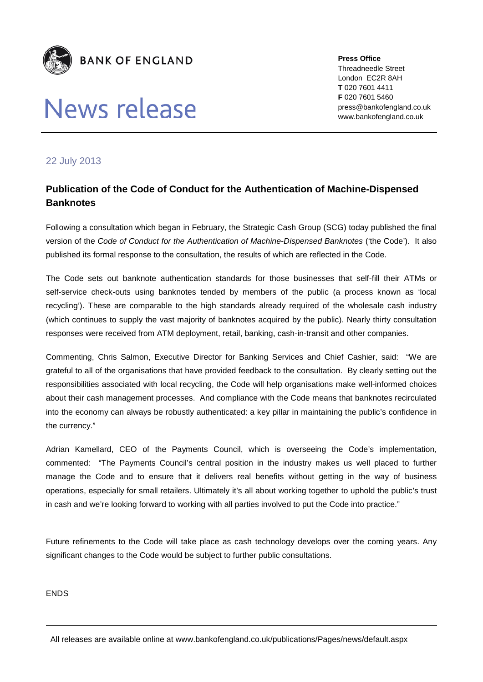

## News release

**Press Office** Threadneedle Street London EC2R 8AH **T** 020 7601 4411 **F** 020 7601 5460 press@bankofengland.co.uk www.bankofengland.co.uk

## 22 July 2013

## **Publication of the Code of Conduct for the Authentication of Machine-Dispensed Banknotes**

Following a consultation which began in February, the Strategic Cash Group (SCG) today published the final version of the *Code of Conduct for the Authentication of Machine-Dispensed Banknotes* ('the Code'). It also published its formal response to the consultation, the results of which are reflected in the Code.

The Code sets out banknote authentication standards for those businesses that self-fill their ATMs or self-service check-outs using banknotes tended by members of the public (a process known as 'local recycling'). These are comparable to the high standards already required of the wholesale cash industry (which continues to supply the vast majority of banknotes acquired by the public). Nearly thirty consultation responses were received from ATM deployment, retail, banking, cash-in-transit and other companies.

Commenting, Chris Salmon, Executive Director for Banking Services and Chief Cashier, said: "We are grateful to all of the organisations that have provided feedback to the consultation. By clearly setting out the responsibilities associated with local recycling, the Code will help organisations make well-informed choices about their cash management processes. And compliance with the Code means that banknotes recirculated into the economy can always be robustly authenticated: a key pillar in maintaining the public's confidence in the currency."

Adrian Kamellard, CEO of the Payments Council, which is overseeing the Code's implementation, commented: "The Payments Council's central position in the industry makes us well placed to further manage the Code and to ensure that it delivers real benefits without getting in the way of business operations, especially for small retailers. Ultimately it's all about working together to uphold the public's trust in cash and we're looking forward to working with all parties involved to put the Code into practice."

Future refinements to the Code will take place as cash technology develops over the coming years. Any significant changes to the Code would be subject to further public consultations.

ENDS

All releases are available online at www.bankofengland.co.uk/publications/Pages/news/default.aspx